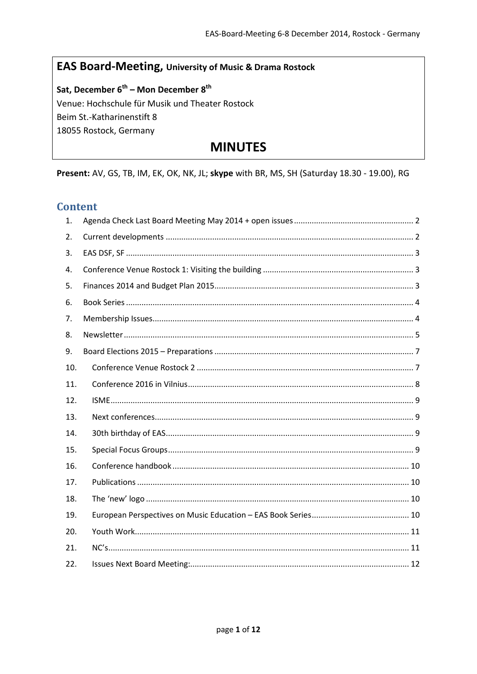# EAS Board-Meeting, University of Music & Drama Rostock

Sat, December 6<sup>th</sup> – Mon December 8<sup>th</sup> Venue: Hochschule für Musik und Theater Rostock Beim St.-Katharinenstift 8 18055 Rostock, Germany

# **MINUTES**

Present: AV, GS, TB, IM, EK, OK, NK, JL; skype with BR, MS, SH (Saturday 18.30 - 19.00), RG

# **Content**

| 1.  |  |
|-----|--|
| 2.  |  |
| 3.  |  |
| 4.  |  |
| 5.  |  |
| 6.  |  |
| 7.  |  |
| 8.  |  |
| 9.  |  |
| 10. |  |
| 11. |  |
| 12. |  |
| 13. |  |
| 14. |  |
| 15. |  |
| 16. |  |
| 17. |  |
| 18. |  |
| 19. |  |
| 20. |  |
| 21. |  |
| 22. |  |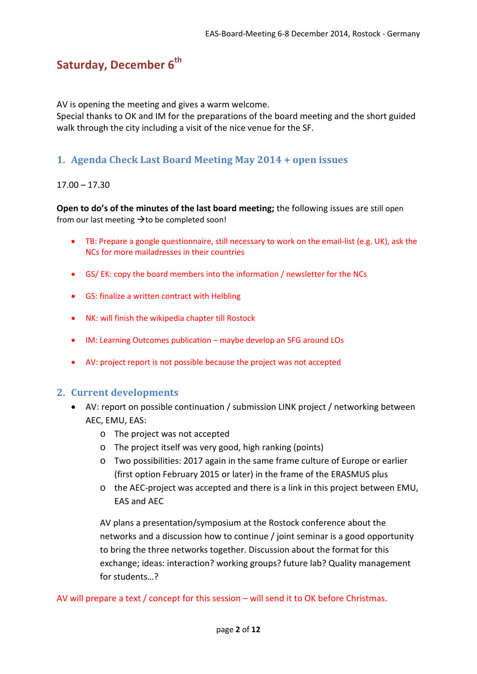# **Saturday, December 6<sup>th</sup>**

AV is opening the meeting and gives a warm welcome.

Special thanks to OK and IM for the preparations of the board meeting and the short guided walk through the city including a visit of the nice venue for the SF.

# <span id="page-1-0"></span>**1. Agenda Check Last Board Meeting May 2014 + open issues**

## $17.00 - 17.30$

**Open to do's of the minutes of the last board meeting;** the following issues are still open from our last meeting  $\rightarrow$  to be completed soon!

- TB: Prepare a google questionnaire, still necessary to work on the email-list (e.g. UK), ask the NCs for more mailadresses in their countries
- GS/ EK: copy the board members into the information / newsletter for the NCs
- GS: finalize a written contract with Helbling
- NK: will finish the wikipedia chapter till Rostock
- IM: Learning Outcomes publication maybe develop an SFG around LOs
- AV: project report is not possible because the project was not accepted

# <span id="page-1-1"></span>**2. Current developments**

- AV: report on possible continuation / submission LINK project / networking between AEC, EMU, EAS:
	- o The project was not accepted
	- o The project itself was very good, high ranking (points)
	- o Two possibilities: 2017 again in the same frame culture of Europe or earlier (first option February 2015 or later) in the frame of the ERASMUS plus
	- o the AEC-project was accepted and there is a link in this project between EMU, EAS and AEC

AV plans a presentation/symposium at the Rostock conference about the networks and a discussion how to continue / joint seminar is a good opportunity to bring the three networks together. Discussion about the format for this exchange; ideas: interaction? working groups? future lab? Quality management for students…?

AV will prepare a text / concept for this session – will send it to OK before Christmas.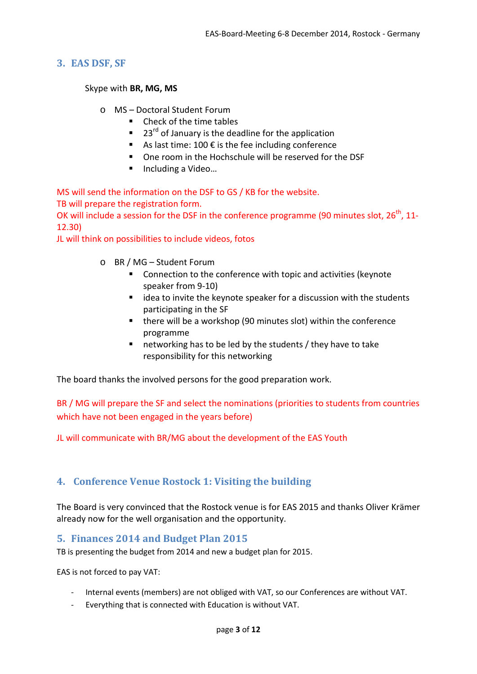### <span id="page-2-0"></span>**3. EAS DSF, SF**

Skype with **BR, MG, MS**

- o MS Doctoral Student Forum
	- Check of the time tables
	- $\blacksquare$  23<sup>rd</sup> of January is the deadline for the application
	- As last time: 100  $\epsilon$  is the fee including conference
	- One room in the Hochschule will be reserved for the DSF
	- Including a Video...

MS will send the information on the DSF to GS / KB for the website. TB will prepare the registration form.

OK will include a session for the DSF in the conference programme (90 minutes slot,  $26<sup>th</sup>$ , 11-12.30)

JL will think on possibilities to include videos, fotos

- o BR / MG Student Forum
	- Connection to the conference with topic and activities (keynote speaker from 9-10)
	- $\blacksquare$  idea to invite the keynote speaker for a discussion with the students participating in the SF
	- there will be a workshop (90 minutes slot) within the conference programme
	- $\blacksquare$  networking has to be led by the students / they have to take responsibility for this networking

The board thanks the involved persons for the good preparation work.

BR / MG will prepare the SF and select the nominations (priorities to students from countries which have not been engaged in the years before)

JL will communicate with BR/MG about the development of the EAS Youth

# <span id="page-2-1"></span>**4. Conference Venue Rostock 1: Visiting the building**

The Board is very convinced that the Rostock venue is for EAS 2015 and thanks Oliver Krämer already now for the well organisation and the opportunity.

#### <span id="page-2-2"></span>**5. Finances 2014 and Budget Plan 2015**

TB is presenting the budget from 2014 and new a budget plan for 2015.

EAS is not forced to pay VAT:

- Internal events (members) are not obliged with VAT, so our Conferences are without VAT.
- Everything that is connected with Education is without VAT.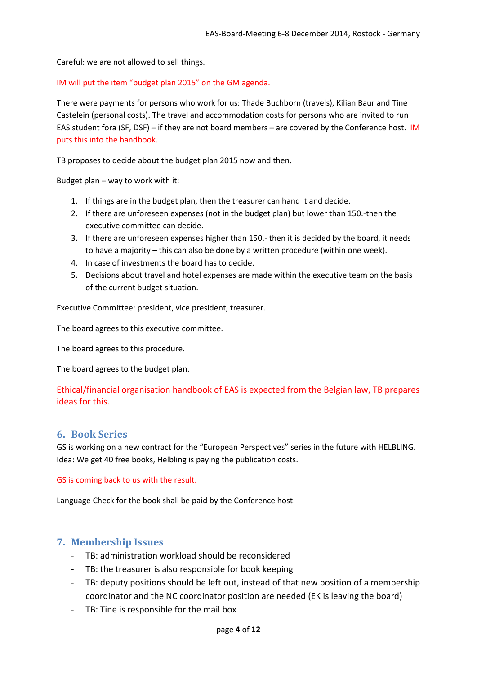Careful: we are not allowed to sell things.

IM will put the item "budget plan 2015" on the GM agenda.

There were payments for persons who work for us: Thade Buchborn (travels), Kilian Baur and Tine Castelein (personal costs). The travel and accommodation costs for persons who are invited to run EAS student fora (SF, DSF) – if they are not board members – are covered by the Conference host. IM puts this into the handbook.

TB proposes to decide about the budget plan 2015 now and then.

Budget plan – way to work with it:

- 1. If things are in the budget plan, then the treasurer can hand it and decide.
- 2. If there are unforeseen expenses (not in the budget plan) but lower than 150.-then the executive committee can decide.
- 3. If there are unforeseen expenses higher than 150.- then it is decided by the board, it needs to have a majority – this can also be done by a written procedure (within one week).
- 4. In case of investments the board has to decide.
- 5. Decisions about travel and hotel expenses are made within the executive team on the basis of the current budget situation.

Executive Committee: president, vice president, treasurer.

The board agrees to this executive committee.

The board agrees to this procedure.

The board agrees to the budget plan.

## Ethical/financial organisation handbook of EAS is expected from the Belgian law, TB prepares ideas for this.

#### <span id="page-3-0"></span>**6. Book Series**

GS is working on a new contract for the "European Perspectives" series in the future with HELBLING. Idea: We get 40 free books, Helbling is paying the publication costs.

#### GS is coming back to us with the result.

Language Check for the book shall be paid by the Conference host.

#### <span id="page-3-1"></span>**7. Membership Issues**

- TB: administration workload should be reconsidered
- TB: the treasurer is also responsible for book keeping
- TB: deputy positions should be left out, instead of that new position of a membership coordinator and the NC coordinator position are needed (EK is leaving the board)
- TB: Tine is responsible for the mail box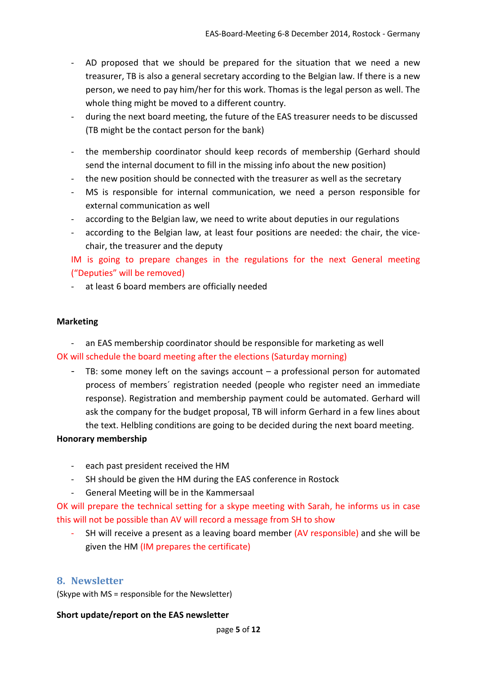- AD proposed that we should be prepared for the situation that we need a new treasurer, TB is also a general secretary according to the Belgian law. If there is a new person, we need to pay him/her for this work. Thomas is the legal person as well. The whole thing might be moved to a different country.
- during the next board meeting, the future of the EAS treasurer needs to be discussed (TB might be the contact person for the bank)
- the membership coordinator should keep records of membership (Gerhard should send the internal document to fill in the missing info about the new position)
- the new position should be connected with the treasurer as well as the secretary
- MS is responsible for internal communication, we need a person responsible for external communication as well
- according to the Belgian law, we need to write about deputies in our regulations
- according to the Belgian law, at least four positions are needed: the chair, the vicechair, the treasurer and the deputy

IM is going to prepare changes in the regulations for the next General meeting ("Deputies" will be removed)

- at least 6 board members are officially needed

#### **Marketing**

- an EAS membership coordinator should be responsible for marketing as well OK will schedule the board meeting after the elections (Saturday morning)

- TB: some money left on the savings account – a professional person for automated process of members´ registration needed (people who register need an immediate response). Registration and membership payment could be automated. Gerhard will ask the company for the budget proposal, TB will inform Gerhard in a few lines about the text. Helbling conditions are going to be decided during the next board meeting.

#### **Honorary membership**

- each past president received the HM
- SH should be given the HM during the EAS conference in Rostock
- General Meeting will be in the Kammersaal

OK will prepare the technical setting for a skype meeting with Sarah, he informs us in case this will not be possible than AV will record a message from SH to show

SH will receive a present as a leaving board member (AV responsible) and she will be given the HM (IM prepares the certificate)

#### <span id="page-4-0"></span>**8. Newsletter**

(Skype with MS = responsible for the Newsletter)

#### **Short update/report on the EAS newsletter**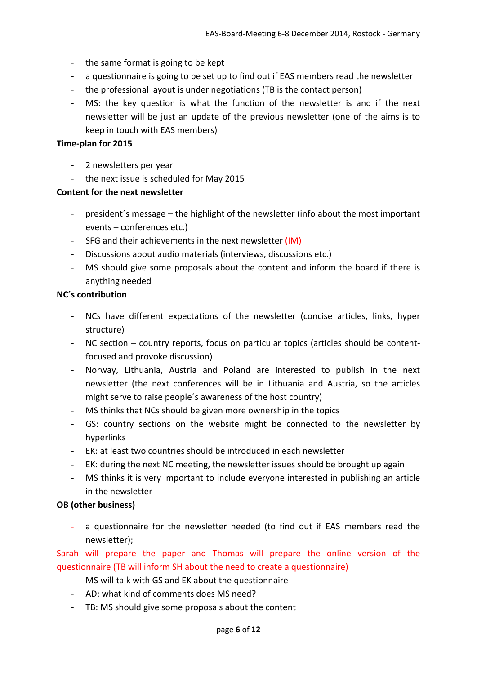- the same format is going to be kept
- a questionnaire is going to be set up to find out if EAS members read the newsletter
- the professional layout is under negotiations (TB is the contact person)
- MS: the key question is what the function of the newsletter is and if the next newsletter will be just an update of the previous newsletter (one of the aims is to keep in touch with EAS members)

#### **Time-plan for 2015**

- 2 newsletters per year
- the next issue is scheduled for May 2015

#### **Content for the next newsletter**

- president´s message the highlight of the newsletter (info about the most important events – conferences etc.)
- SFG and their achievements in the next newsletter (IM)
- Discussions about audio materials (interviews, discussions etc.)
- MS should give some proposals about the content and inform the board if there is anything needed

#### **NC´s contribution**

- NCs have different expectations of the newsletter (concise articles, links, hyper structure)
- NC section country reports, focus on particular topics (articles should be contentfocused and provoke discussion)
- Norway, Lithuania, Austria and Poland are interested to publish in the next newsletter (the next conferences will be in Lithuania and Austria, so the articles might serve to raise people´s awareness of the host country)
- MS thinks that NCs should be given more ownership in the topics
- GS: country sections on the website might be connected to the newsletter by hyperlinks
- EK: at least two countries should be introduced in each newsletter
- EK: during the next NC meeting, the newsletter issues should be brought up again
- MS thinks it is very important to include everyone interested in publishing an article in the newsletter

#### **OB (other business)**

- a questionnaire for the newsletter needed (to find out if EAS members read the newsletter);

Sarah will prepare the paper and Thomas will prepare the online version of the questionnaire (TB will inform SH about the need to create a questionnaire)

- MS will talk with GS and EK about the questionnaire
- AD: what kind of comments does MS need?
- TB: MS should give some proposals about the content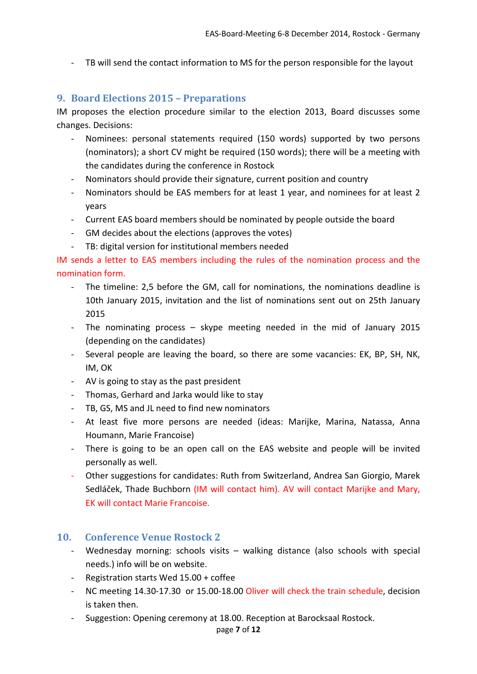- TB will send the contact information to MS for the person responsible for the layout

# <span id="page-6-0"></span>**9. Board Elections 2015 – Preparations**

IM proposes the election procedure similar to the election 2013, Board discusses some changes. Decisions:

- Nominees: personal statements required (150 words) supported by two persons (nominators); a short CV might be required (150 words); there will be a meeting with the candidates during the conference in Rostock
- Nominators should provide their signature, current position and country
- Nominators should be EAS members for at least 1 year, and nominees for at least 2 years
- Current EAS board members should be nominated by people outside the board
- GM decides about the elections (approves the votes)
- TB: digital version for institutional members needed

IM sends a letter to EAS members including the rules of the nomination process and the nomination form.

- The timeline: 2,5 before the GM, call for nominations, the nominations deadline is 10th January 2015, invitation and the list of nominations sent out on 25th January 2015
- The nominating process skype meeting needed in the mid of January 2015 (depending on the candidates)
- Several people are leaving the board, so there are some vacancies: EK, BP, SH, NK, IM, OK
- AV is going to stay as the past president
- Thomas, Gerhard and Jarka would like to stay
- TB, GS, MS and JL need to find new nominators
- At least five more persons are needed (ideas: Marijke, Marina, Natassa, Anna Houmann, Marie Francoise)
- There is going to be an open call on the EAS website and people will be invited personally as well.
- Other suggestions for candidates: Ruth from Switzerland, Andrea San Giorgio, Marek Sedláček, Thade Buchborn (IM will contact him). AV will contact Marijke and Mary, EK will contact Marie Francoise.

# <span id="page-6-1"></span>**10. Conference Venue Rostock 2**

- Wednesday morning: schools visits walking distance (also schools with special needs.) info will be on website.
- Registration starts Wed 15.00 + coffee
- NC meeting 14.30-17.30 or 15.00-18.00 Oliver will check the train schedule, decision is taken then.
- Suggestion: Opening ceremony at 18.00. Reception at Barocksaal Rostock.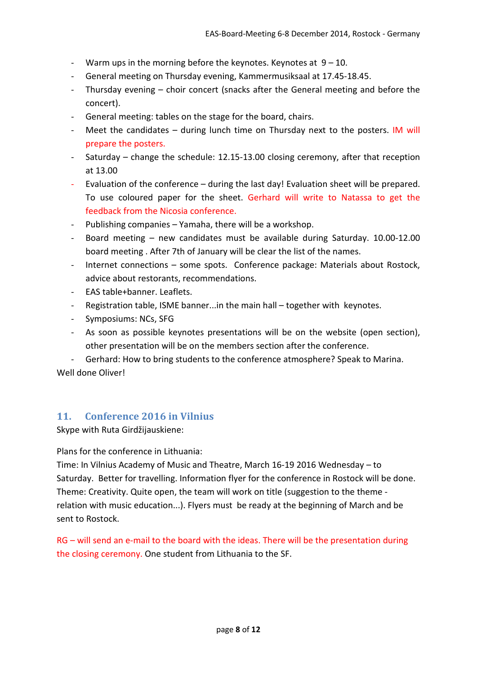- Warm ups in the morning before the keynotes. Keynotes at  $9 10$ .
- General meeting on Thursday evening, Kammermusiksaal at 17.45-18.45.
- Thursday evening choir concert (snacks after the General meeting and before the concert).
- General meeting: tables on the stage for the board, chairs.
- Meet the candidates  $-$  during lunch time on Thursday next to the posters. IM will prepare the posters.
- Saturday change the schedule: 12.15-13.00 closing ceremony, after that reception at 13.00
- Evaluation of the conference during the last day! Evaluation sheet will be prepared. To use coloured paper for the sheet. Gerhard will write to Natassa to get the feedback from the Nicosia conference.
- Publishing companies Yamaha, there will be a workshop.
- Board meeting new candidates must be available during Saturday. 10.00-12.00 board meeting . After 7th of January will be clear the list of the names.
- Internet connections some spots. Conference package: Materials about Rostock, advice about restorants, recommendations.
- EAS table+banner. Leaflets.
- Registration table, ISME banner...in the main hall together with keynotes.
- Symposiums: NCs, SFG
- As soon as possible keynotes presentations will be on the website (open section), other presentation will be on the members section after the conference.
- Gerhard: How to bring students to the conference atmosphere? Speak to Marina.

Well done Oliver!

# <span id="page-7-0"></span>**11. Conference 2016 in Vilnius**

Skype with Ruta Girdžijauskiene:

Plans for the conference in Lithuania:

Time: In Vilnius Academy of Music and Theatre, March 16-19 2016 Wednesday – to Saturday. Better for travelling. Information flyer for the conference in Rostock will be done. Theme: Creativity. Quite open, the team will work on title (suggestion to the theme relation with music education...). Flyers must be ready at the beginning of March and be sent to Rostock.

RG – will send an e-mail to the board with the ideas. There will be the presentation during the closing ceremony. One student from Lithuania to the SF.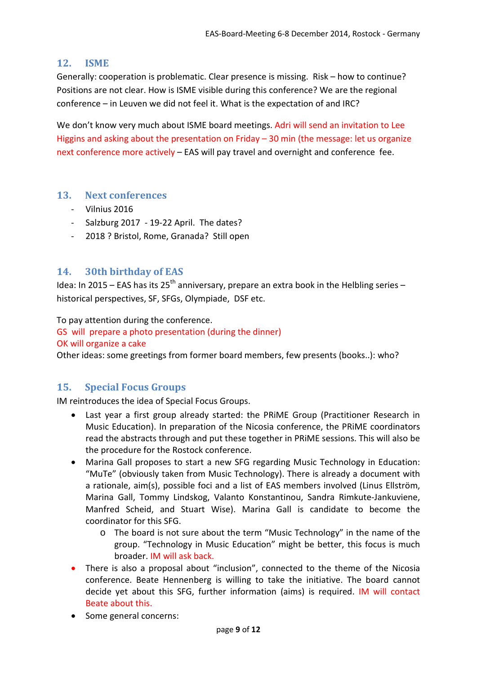### <span id="page-8-0"></span>**12. ISME**

Generally: cooperation is problematic. Clear presence is missing. Risk – how to continue? Positions are not clear. How is ISME visible during this conference? We are the regional conference – in Leuven we did not feel it. What is the expectation of and IRC?

We don't know very much about ISME board meetings. Adri will send an invitation to Lee Higgins and asking about the presentation on Friday – 30 min (the message: let us organize next conference more actively – EAS will pay travel and overnight and conference fee.

#### <span id="page-8-1"></span>**13. Next conferences**

- Vilnius 2016
- Salzburg 2017 19-22 April. The dates?
- 2018 ? Bristol, Rome, Granada? Still open

## <span id="page-8-2"></span>**14. 30th birthday of EAS**

Idea: In 2015 – EAS has its 25<sup>th</sup> anniversary, prepare an extra book in the Helbling series – historical perspectives, SF, SFGs, Olympiade, DSF etc.

To pay attention during the conference.

GS will prepare a photo presentation (during the dinner)

#### OK will organize a cake

Other ideas: some greetings from former board members, few presents (books..): who?

# <span id="page-8-3"></span>**15. Special Focus Groups**

IM reintroduces the idea of Special Focus Groups.

- Last year a first group already started: the PRiME Group (Practitioner Research in Music Education). In preparation of the Nicosia conference, the PRiME coordinators read the abstracts through and put these together in PRiME sessions. This will also be the procedure for the Rostock conference.
- Marina Gall proposes to start a new SFG regarding Music Technology in Education: "MuTe" (obviously taken from Music Technology). There is already a document with a rationale, aim(s), possible foci and a list of EAS members involved (Linus Ellström, Marina Gall, Tommy Lindskog, Valanto Konstantinou, Sandra Rimkute-Jankuviene, Manfred Scheid, and Stuart Wise). Marina Gall is candidate to become the coordinator for this SFG.
	- o The board is not sure about the term "Music Technology" in the name of the group. "Technology in Music Education" might be better, this focus is much broader. IM will ask back.
- There is also a proposal about "inclusion", connected to the theme of the Nicosia conference. Beate Hennenberg is willing to take the initiative. The board cannot decide yet about this SFG, further information (aims) is required. IM will contact Beate about this.
- Some general concerns: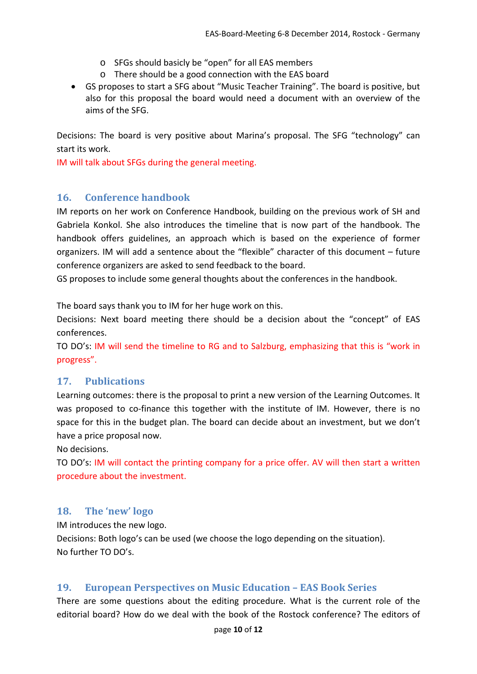- o SFGs should basicly be "open" for all EAS members
- o There should be a good connection with the EAS board
- GS proposes to start a SFG about "Music Teacher Training". The board is positive, but also for this proposal the board would need a document with an overview of the aims of the SFG.

Decisions: The board is very positive about Marina's proposal. The SFG "technology" can start its work.

IM will talk about SFGs during the general meeting.

#### <span id="page-9-0"></span>**16. Conference handbook**

IM reports on her work on Conference Handbook, building on the previous work of SH and Gabriela Konkol. She also introduces the timeline that is now part of the handbook. The handbook offers guidelines, an approach which is based on the experience of former organizers. IM will add a sentence about the "flexible" character of this document – future conference organizers are asked to send feedback to the board.

GS proposes to include some general thoughts about the conferences in the handbook.

The board says thank you to IM for her huge work on this.

Decisions: Next board meeting there should be a decision about the "concept" of EAS conferences.

TO DO's: IM will send the timeline to RG and to Salzburg, emphasizing that this is "work in progress".

#### <span id="page-9-1"></span>**17. Publications**

Learning outcomes: there is the proposal to print a new version of the Learning Outcomes. It was proposed to co-finance this together with the institute of IM. However, there is no space for this in the budget plan. The board can decide about an investment, but we don't have a price proposal now.

No decisions.

TO DO's: IM will contact the printing company for a price offer. AV will then start a written procedure about the investment.

# <span id="page-9-2"></span>**18. The 'new' logo**

IM introduces the new logo. Decisions: Both logo's can be used (we choose the logo depending on the situation). No further TO DO's.

# <span id="page-9-3"></span>**19. European Perspectives on Music Education – EAS Book Series**

There are some questions about the editing procedure. What is the current role of the editorial board? How do we deal with the book of the Rostock conference? The editors of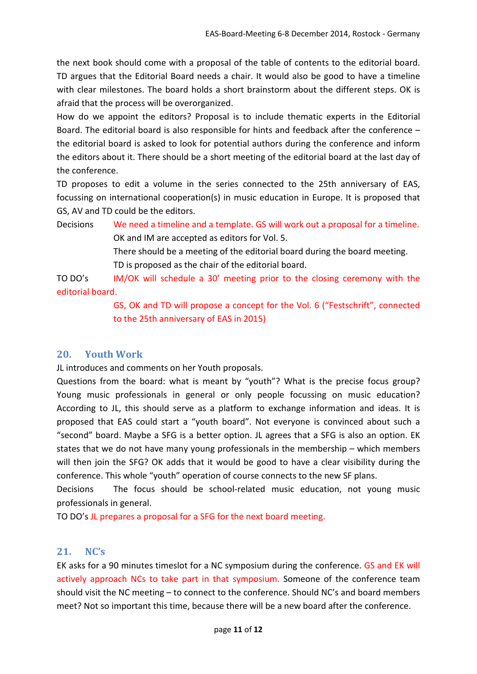the next book should come with a proposal of the table of contents to the editorial board. TD argues that the Editorial Board needs a chair. It would also be good to have a timeline with clear milestones. The board holds a short brainstorm about the different steps. OK is afraid that the process will be overorganized.

How do we appoint the editors? Proposal is to include thematic experts in the Editorial Board. The editorial board is also responsible for hints and feedback after the conference – the editorial board is asked to look for potential authors during the conference and inform the editors about it. There should be a short meeting of the editorial board at the last day of the conference.

TD proposes to edit a volume in the series connected to the 25th anniversary of EAS, focussing on international cooperation(s) in music education in Europe. It is proposed that GS, AV and TD could be the editors.

Decisions We need a timeline and a template. GS will work out a proposal for a timeline. OK and IM are accepted as editors for Vol. 5. There should be a meeting of the editorial board during the board meeting. TD is proposed as the chair of the editorial board.

TO DO's IM/OK will schedule a 30' meeting prior to the closing ceremony with the editorial board.

> GS, OK and TD will propose a concept for the Vol. 6 ("Festschrift", connected to the 25th anniversary of EAS in 2015)

# <span id="page-10-0"></span>**20. Youth Work**

JL introduces and comments on her Youth proposals.

Questions from the board: what is meant by "youth"? What is the precise focus group? Young music professionals in general or only people focussing on music education? According to JL, this should serve as a platform to exchange information and ideas. It is proposed that EAS could start a "youth board". Not everyone is convinced about such a "second" board. Maybe a SFG is a better option. JL agrees that a SFG is also an option. EK states that we do not have many young professionals in the membership – which members will then join the SFG? OK adds that it would be good to have a clear visibility during the conference. This whole "youth" operation of course connects to the new SF plans.

Decisions The focus should be school-related music education, not young music professionals in general.

TO DO's JL prepares a proposal for a SFG for the next board meeting.

# <span id="page-10-1"></span>**21. NC's**

EK asks for a 90 minutes timeslot for a NC symposium during the conference. GS and EK will actively approach NCs to take part in that symposium. Someone of the conference team should visit the NC meeting – to connect to the conference. Should NC's and board members meet? Not so important this time, because there will be a new board after the conference.